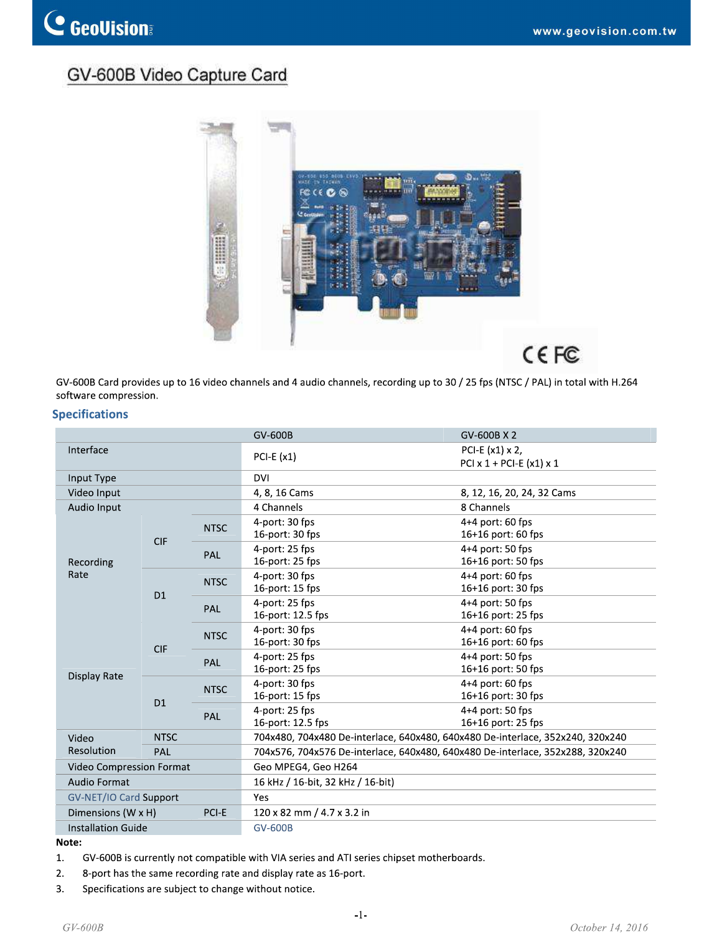# GV-600B Video Capture Card



|                           |             |             |                                                                                                                                                             | CEFC<br>GV-600B Card provides up to 16 video channels and 4 audio channels, recording up to 30 / 25 fps (NTSC / PAL) in total with H.264 |
|---------------------------|-------------|-------------|-------------------------------------------------------------------------------------------------------------------------------------------------------------|------------------------------------------------------------------------------------------------------------------------------------------|
| software compression.     |             |             |                                                                                                                                                             |                                                                                                                                          |
| <b>Specifications</b>     |             |             | GV-600B                                                                                                                                                     | GV-600B X 2                                                                                                                              |
| Interface                 |             |             |                                                                                                                                                             | PCI-E (x1) x 2,                                                                                                                          |
|                           |             |             | PCI-E $(x1)$                                                                                                                                                | PCI $x$ 1 + PCI-E $(x1)$ $x$ 1                                                                                                           |
| Input Type                |             |             | <b>DVI</b>                                                                                                                                                  |                                                                                                                                          |
| Video Input               |             |             | 4, 8, 16 Cams                                                                                                                                               | 8, 12, 16, 20, 24, 32 Cams                                                                                                               |
| Audio Input               |             |             | 4 Channels                                                                                                                                                  | 8 Channels                                                                                                                               |
|                           |             | <b>NTSC</b> | 4-port: 30 fps                                                                                                                                              | 4+4 port: 60 fps                                                                                                                         |
|                           | <b>CIF</b>  |             | 16-port: 30 fps                                                                                                                                             | 16+16 port: 60 fps                                                                                                                       |
| Recording                 |             | PAL         | 4-port: 25 fps<br>16-port: 25 fps                                                                                                                           | 4+4 port: 50 fps<br>16+16 port: 50 fps                                                                                                   |
| Rate                      |             |             | 4-port: 30 fps                                                                                                                                              | 4+4 port: 60 fps                                                                                                                         |
|                           | D1          | <b>NTSC</b> | 16-port: 15 fps                                                                                                                                             | 16+16 port: 30 fps                                                                                                                       |
|                           |             | <b>PAL</b>  | 4-port: 25 fps<br>16-port: 12.5 fps                                                                                                                         | 4+4 port: 50 fps<br>16+16 port: 25 fps                                                                                                   |
|                           |             |             | 4-port: 30 fps                                                                                                                                              | 4+4 port: 60 fps                                                                                                                         |
|                           | <b>CIF</b>  | <b>NTSC</b> | 16-port: 30 fps                                                                                                                                             | 16+16 port: 60 fps                                                                                                                       |
|                           |             | PAL         | 4-port: 25 fps                                                                                                                                              | 4+4 port: 50 fps                                                                                                                         |
| Display Rate              |             |             | 16-port: 25 fps                                                                                                                                             | 16+16 port: 50 fps                                                                                                                       |
|                           | D1          | <b>NTSC</b> | 4-port: 30 fps<br>16-port: 15 fps                                                                                                                           | 4+4 port: 60 fps<br>16+16 port: 30 fps                                                                                                   |
|                           |             |             | 4-port: 25 fps                                                                                                                                              | 4+4 port: 50 fps                                                                                                                         |
|                           |             | <b>PAL</b>  | 16-port: 12.5 fps                                                                                                                                           | 16+16 port: 25 fps                                                                                                                       |
| Video                     | <b>NTSC</b> |             |                                                                                                                                                             | 704x480, 704x480 De-interlace, 640x480, 640x480 De-interlace, 352x240, 320x240                                                           |
| Resolution                | PAL         |             | 704x576, 704x576 De-interlace, 640x480, 640x480 De-interlace, 352x288, 320x240                                                                              |                                                                                                                                          |
| Video Compression Format  |             |             | Geo MPEG4, Geo H264                                                                                                                                         |                                                                                                                                          |
| Audio Format              |             |             | 16 kHz / 16-bit, 32 kHz / 16-bit)                                                                                                                           |                                                                                                                                          |
| GV-NET/IO Card Support    |             |             | Yes                                                                                                                                                         |                                                                                                                                          |
| Dimensions (W x H)        |             | PCI-E       | 120 x 82 mm / 4.7 x 3.2 in                                                                                                                                  |                                                                                                                                          |
| <b>Installation Guide</b> |             |             | <b>GV-600B</b>                                                                                                                                              |                                                                                                                                          |
| Note:                     |             |             |                                                                                                                                                             |                                                                                                                                          |
| 1.                        |             |             | GV-600B is currently not compatible with VIA series and ATI series chipset motherboards.<br>8-port has the same recording rate and display rate as 16-port. |                                                                                                                                          |
| 2.<br>3.                  |             |             | Specifications are subject to change without notice.                                                                                                        |                                                                                                                                          |
|                           |             |             |                                                                                                                                                             |                                                                                                                                          |
|                           |             |             | $-1-$                                                                                                                                                       |                                                                                                                                          |
| $GV-600B$                 |             |             |                                                                                                                                                             | October 14, 2016                                                                                                                         |

- 
- 
-